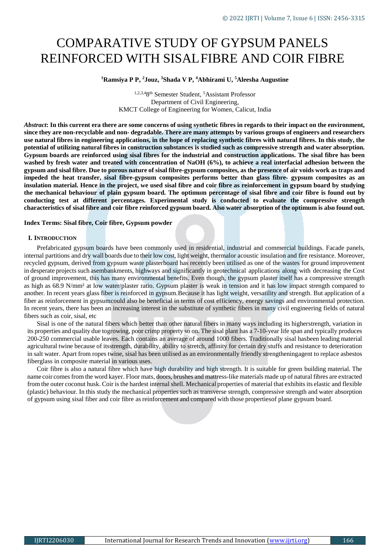# COMPARATIVE STUDY OF GYPSUM PANELS REINFORCED WITH SISALFIBRE AND COIR FIBRE

## **<sup>1</sup>Ramsiya P P, <sup>2</sup>Jouz, <sup>3</sup>Shada V P, <sup>4</sup>Abhirami U, <sup>5</sup>Aleesha Augustine**

1,2,3,48 th Semester Student, <sup>5</sup>Assistant Professor Department of Civil Engineering, KMCT College of Engineering for Women, Calicut, India

Abstract: In this current era there are some concerns of using synthetic fibres in regards to their impact on the environment, since they are non-recyclable and non-degradable. There are many attempts by various groups of engineers and researchers use natural fibres in engineering applications, in the hope of replacing synthetic fibres with natural fibres. In this study, the **potential of utilizing natural fibres in construction substances is studied such as compressive strength and water absorption.** Gypsum boards are reinforced using sisal fibres for the industrial and construction applications. The sisal fibre has been washed by fresh water and treated with concentration of NaOH (6%), to achieve a real interfacial adhesion between the gypsum and sisal fibre. Due to porous nature of sisal fibre-gypsum composites, as the presence of air voids work as traps and impeded the heat transfer, sisal fibre-gypsum composites performs better than glass fibre-gypsum composites as an **insulation material. Hence in the project, we used sisal fibre and coir fibre as reinforcement in gypsum board by studying** the mechanical behaviour of plain gypsum board. The optimum percentage of sisal fibre and coir fibre is found out by **conducting test at different percentages. Experimental study is conducted to evaluate the compressive strength characteristics of sisal fibre and coir fibre reinforced gypsum board. Also water absorption of the optimum is also found out.**

# **Index Terms: Sisal fibre, Coir fibre, Gypsum powder**

# **I. INTRODUCTION**

 Prefabricated gypsum boards have been commonly used in residential, industrial and commercial buildings. Facade panels, internal partitions and dry wall boards due to their low cost, light weight, thermalor acoustic insulation and fire resistance. Moreover, recycled gypsum, derived from gypsum waste plasterboard has recently been utilised as one of the wastes for ground improvement in desperate projects such asembankments, highways and significantly in geotechnical applications along with decreasing the Cost of ground improvement, this has many environmental benefits. Even though, the gypsum plaster itself has a compressive strength as high as 68.9 N/mm² at low water/plaster ratio. Gypsum plaster is weak in tension and it has low impact strength compared to another. In recent years glass fiber is reinforced in gypsum.Because it has light weight, versatility and strength. But application of a fiber as reinforcement in gypsumcould also be beneficial in terms of cost efficiency, energy savings and environmental protection. In recent years, there has been an increasing interest in the substitute of synthetic fibers in many civil engineering fields of natural fibers such as coir, sisal, etc

Sisal is one of the natural fibers which better than other natural fibers in many ways including its higherstrength, variation in its properties and quality due togrowing, poor crimp property so on. The sisal plant has a 7-10-year life span and typically produces 200-250 commercial usable leaves. Each contains an average of around 1000 fibers. Traditionally sisal hasbeen leading material agricultural twine because of itsstrength, durability, ability to stretch, affinity for certain dry stuffs and resistance to deterioration in salt water. Apart from ropes twine, sisal has been utilised as an environmentally friendly strengtheningagent to replace asbestos fiberglass in composite material in various uses.

Coir fibre is also a natural fibre which have high durability and high strength. It is suitable for green building material. The name coir comes from the word kayer. Floor mats, doors, brushes and mattress-like materials made up of natural fibres are extracted from the outer coconut husk. Coir is the hardest internal shell. Mechanical properties of material that exhibits its elastic and flexible (plastic) behaviour. In this study the mechanical properties such as transverse strength, compressive strength and water absorption of gypsum using sisal fiber and coir fibre asreinforcement and compared with those propertiesof plane gypsum board.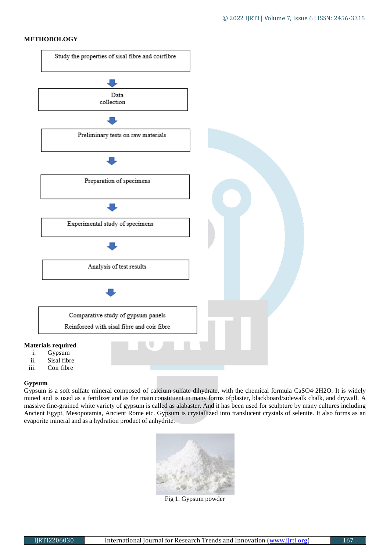# **METHODOLOGY**



# **Gypsum**

Gypsum is a soft sulfate mineral composed of calcium sulfate dihydrate, with the chemical formula CaSO4·2H2O. It is widely mined and is used as a fertilizer and as the main constituent in many forms ofplaster, blackboard/sidewalk chalk, and drywall. A massive fine-grained white variety of gypsum is called as alabaster. And it has been used for sculpture by many cultures including Ancient Egypt, Mesopotamia, Ancient Rome etc. Gypsum is crystallized into translucent crystals of selenite. It also forms as an evaporite mineral and as a hydration product of anhydrite.



Fig 1. Gypsum powder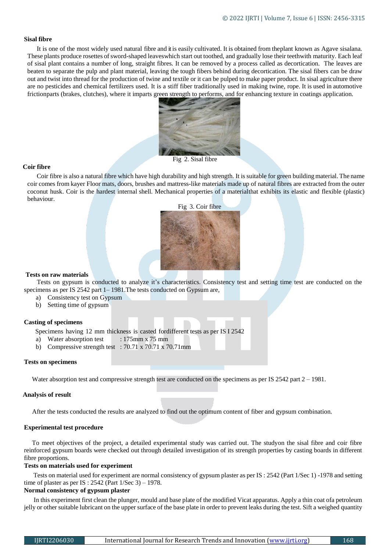## **Sisal fibre**

It is one of the most widely used natural fibre and it is easily cultivated. It is obtained from theplant known as Agave sisalana. These plants produce rosettes of sword-shaped leaveswhich start out toothed, and gradually lose their teethwith maturity. Each leaf of sisal plant contains a number of long, straight fibres. It can be removed by a process called as decortication. The leaves are beaten to separate the pulp and plant material, leaving the tough fibers behind during decortication. The sisal fibers can be draw out and twist into thread for the production of twine and textile or it can be pulped to make paper product. In sisal agriculture there are no pesticides and chemical fertilizers used. It is a stiff fiber traditionally used in making twine, rope. It is used in automotive frictionparts (brakes, clutches), where it imparts green strength to performs, and for enhancing texture in coatings application.



# Fig 2. Sisal fibre

## **Coir fibre**

Coir fibre is also a natural fibre which have high durability and high strength. It is suitable for green building material. The name coir comes from kayer Floor mats, doors, brushes and mattress-like materials made up of natural fibres are extracted from the outer coconut husk. Coir is the hardest internal shell. Mechanical properties of a materialthat exhibits its elastic and flexible (plastic) behaviour.



#### **Tests on raw materials**

Tests on gypsum is conducted to analyze it's characteristics. Consistency test and setting time test are conducted on the specimens as per IS 2542 part 1– 1981.The tests conducted on Gypsum are,

- a) Consistency test on Gypsum
- b) Setting time of gypsum

## **Casting of specimens**

Specimens having 12 mm thickness is casted fordifferent tests as per IS I 2542

- a) Water absorption test : 175mm x 75 mm
- b) Compressive strength test : 70.71 x 70.71 x 70.71mm

#### **Tests on specimens**

Water absorption test and compressive strength test are conducted on the specimens as per IS 2542 part  $2 - 1981$ .

#### **Analysis of result**

After the tests conducted the results are analyzed to find out the optimum content of fiber and gypsum combination.

#### **Experimental test procedure**

 To meet objectives of the project, a detailed experimental study was carried out. The studyon the sisal fibre and coir fibre reinforced gypsum boards were checked out through detailed investigation of its strength properties by casting boards in different fibre proportions.

# **Tests on materials used for experiment**

Tests on material used for experiment are normal consistency of gypsum plaster as per IS : 2542 (Part 1/Sec 1) -1978 and setting time of plaster as per IS : 2542 (Part 1/Sec 3) – 1978.

# **Normal consistency of gypsum plaster**

In this experiment first clean the plunger, mould and base plate of the modified Vicat apparatus. Apply a thin coat ofa petroleum jelly or other suitable lubricant on the upper surface of the base plate in order to prevent leaks during the test. Sift a weighed quantity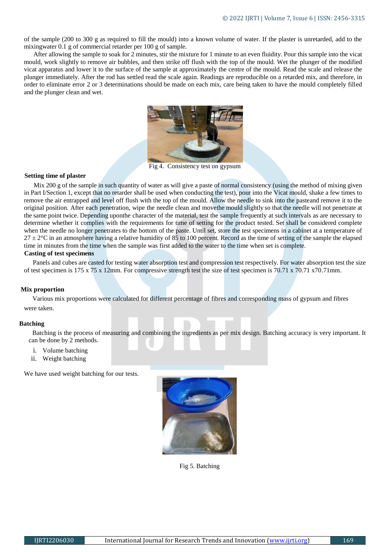of the sample (200 to 300 g as required to fill the mould) into a known volume of water. If the plaster is unretarded, add to the mixingwater 0.1 g of commercial retarder per 100 g of sample.

After allowing the sample to soak for 2 minutes, stir the mixture for 1 minute to an even fluidity. Pour this sample into the vicat mould, work slightly to remove air bubbles, and then strike off flush with the top of the mould. Wet the plunger of the modified vicat apparatus and lower it to the surface of the sample at approximately the centre of the mould. Read the scale and release the plunger immediately. After the rod has settled read the scale again. Readings are reproducible on a retarded mix, and therefore, in order to eliminate error 2 or 3 determinations should be made on each mix, care being taken to have the mould completely filled and the plunger clean and wet.



Fig 4. Consistency test on gypsum

## **Setting time of plaster**

 Mix 200 g of the sample in such quantity of water as will give a paste of normal consistency (using the method of mixing given in Part I/Section 1, except that no retarder shall be used when conducting the test), pour into the Vicat mould, shake a few times to remove the air entrapped and level off flush with the top of the mould. Allow the needle to sink into the pasteand remove it to the original position. After each penetration, wipe the needle clean and movethe mould slightly so that the needle will not penetrate at the same point twice. Depending uponthe character of the material, test the sample frequently at such intervals as are necessary to determine whether it complies with the requirements for time of setting for the product tested. Set shall be considered complete when the needle no longer penetrates to the bottom of the paste. Until set, store the test specimens in a cabinet at a temperature of  $27 \pm 2$ °C in an atmosphere having a relative humidity of 85 to 100 percent. Record as the time of setting of the sample the elapsed time in minutes from the time when the sample was first added to the water to the time when set is complete.

# **Casting of test specimens**

 Panels and cubes are casted for testing water absorption test and compression test respectively. For water absorption test the size of test specimen is 175 x 75 x 12mm. For compressive strength test the size of test specimen is 70.71 x 70.71 x70.71mm.

#### **Mix proportion**

Various mix proportions were calculated for different percentage of fibres and corresponding mass of gypsum and fibres were taken.

#### **Batching**

Batching is the process of measuring and combining the ingredients as per mix design. Batching accuracy is very important. It can be done by 2 methods.

- i. Volume batching
- ii. Weight batching

We have used weight batching for our tests.



Fig 5. Batching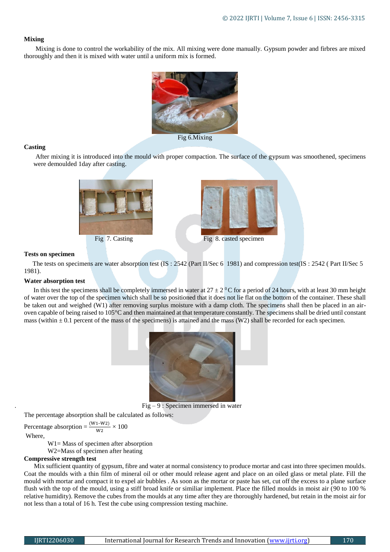# **Mixing**

 Mixing is done to control the workability of the mix. All mixing were done manually. Gypsum powder and firbres are mixed thoroughly and then it is mixed with water until a uniform mix is formed.



# **Casting**

 After mixing it is introduced into the mould with proper compaction. The surface of the gypsum was smoothened, specimens were demoulded 1day after casting.





#### **Tests on specimen**

 The tests on specimens are water absorption test (IS : 2542 (Part II/Sec 6 1981) and compression test(IS : 2542 ( Part II/Sec 5 1981).

## **Water absorption test**

In this test the specimens shall be completely immersed in water at  $27 \pm 2$  °C for a period of 24 hours, with at least 30 mm height of water over the top of the specimen which shall be so positioned that it does not lie flat on the bottom of the container. These shall be taken out and weighed (W1) after removing surplus moisture with a damp cloth. The specimens shall then be placed in an airoven capable of being raised to 105°C and then maintained at that temperature constantly. The specimens shall be dried until constant mass (within  $\pm$  0.1 percent of the mass of the specimens) is attained and the mass (W2) shall be recorded for each specimen.



 $Fig - 9: Specimen immersed in water$ 

The percentage absorption shall be calculated as follows:

Percentage absorption =  $\frac{(W1-W2)}{W2} \times 100$ Where,

W1= Mass of specimen after absorption

W2=Mass of specimen after heating

## **Compressive strength test**

 Mix sufficient quantity of gypsum, fibre and water at normal consistency to produce mortar and cast into three specimen moulds. Coat the moulds with a thin film of mineral oil or other mould release agent and place on an oiled glass or metal plate. Fill the mould with mortar and compact it to expel air bubbles . As soon as the mortar or paste has set, cut off the excess to a plane surface flush with the top of the mould, using a stiff broad knife or similiar implement. Place the filled moulds in moist air (90 to 100 % relative humidity). Remove the cubes from the moulds at any time after they are thoroughly hardened, but retain in the moist air for not less than a total of 16 h. Test the cube using compression testing machine.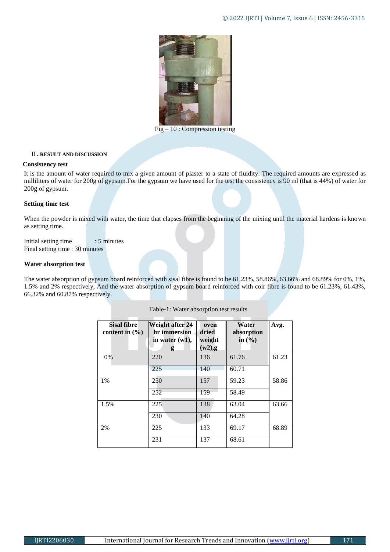

 $\overline{\text{Fig}} - 10$ : Compression testing

# II **. RESULT AND DISCUSSION**

## **Consistency test**

It is the amount of water required to mix a given amount of plaster to a state of fluidity. The required amounts are expressed as milliliters of water for 200g of gypsum.For the gypsum we have used for the test the consistency is 90 ml (that is 44%) of water for 200g of gypsum.

# **Setting time test**

When the powder is mixed with water, the time that elapses from the beginning of the mixing until the material hardens is known as setting time.

Initial setting time : 5 minutes Final setting time : 30 minutes

# **Water absorption test**

The water absorption of gypsum board reinforced with sisal fibre is found to be 61.23%, 58.86%, 63.66% and 68.89% for 0%, 1%, 1.5% and 2% respectively, And the water absorption of gypsum board reinforced with coir fibre is found to be 61.23%, 61.43%, 66.32% and 60.87% respectively.

| <b>Sisal fibre</b><br>content in $(\% )$ | Weight after 24<br>hr immersion<br>in water $(w1)$ ,<br>g | oven<br>dried<br>weight<br>$(w2)$ ,g | Water<br>absorption<br>in $\left(\frac{0}{0}\right)$ | Avg.  |
|------------------------------------------|-----------------------------------------------------------|--------------------------------------|------------------------------------------------------|-------|
| 0%                                       | 220                                                       | 136                                  | 61.76                                                | 61.23 |
|                                          | 225                                                       | 140                                  | 60.71                                                |       |
| $1\%$                                    | 250                                                       | 157                                  | 59.23                                                | 58.86 |
|                                          | 252                                                       | 159                                  | 58.49                                                |       |
| 1.5%                                     | 225                                                       | 138                                  | 63.04                                                | 63.66 |
|                                          | 230                                                       | 140                                  | 64.28                                                |       |
| 2%                                       | 225                                                       | 133                                  | 69.17                                                | 68.89 |
|                                          | 231                                                       | 137                                  | 68.61                                                |       |

| Table-1: Water absorption test results |  |
|----------------------------------------|--|
|----------------------------------------|--|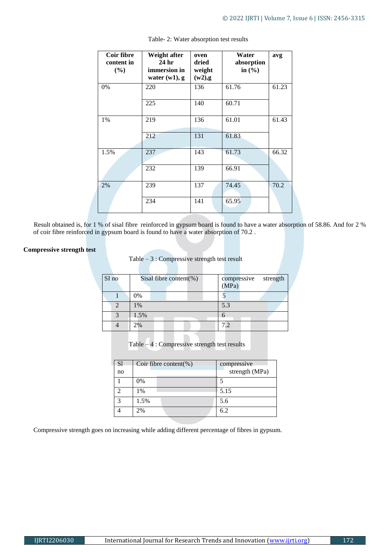| Coir fibre<br>content in<br>$($ %) | Weight after<br>24 <sub>hr</sub><br>immersion in<br>water $(w1)$ , g | oven<br>dried<br>weight<br>$(w2)$ ,g | Water<br>absorption<br>in $(\% )$ | avg   |
|------------------------------------|----------------------------------------------------------------------|--------------------------------------|-----------------------------------|-------|
| 0%                                 | 220                                                                  | 136                                  | 61.76                             | 61.23 |
|                                    | 225                                                                  | 140                                  | 60.71                             |       |
| 1%                                 | 219                                                                  | 136                                  | 61.01                             | 61.43 |
|                                    | 212                                                                  | 131                                  | 61.83                             |       |
| 1.5%                               | 237                                                                  | 143                                  | 61.73                             | 66.32 |
|                                    | 232                                                                  | 139                                  | 66.91                             |       |
| 2%                                 | 239                                                                  | 137                                  | 74.45                             | 70.2  |
|                                    | 234                                                                  | 141                                  | 65.95                             |       |

Table- 2: Water absorption test results

 Result obtained is, for 1 % of sisal fibre reinforced in gypsum board is found to have a water absorption of 58.86. And for 2 % of coir fibre reinforced in gypsum board is found to have a water absorption of 70.2 .

# **Compressive strength test**

| Table $-3$ : Compressive strength test result |
|-----------------------------------------------|
|-----------------------------------------------|

| SI no | Sisal fibre content(%) | strength<br>compressive<br>(MPa) |
|-------|------------------------|----------------------------------|
|       | 0%                     |                                  |
|       | 1%                     | 5.3                              |
|       | 1.5%                   |                                  |
|       | 2%                     | 7.2                              |

Table – 4 : Compressive strength test results

| <sub>S1</sub><br>no | Coir fibre content(%) | compressive<br>strength (MPa) |
|---------------------|-----------------------|-------------------------------|
|                     | 0%                    |                               |
|                     | 1%                    | 5.15                          |
|                     | 1.5%                  | 5.6                           |
|                     | 2%                    | 6.2                           |

Compressive strength goes on increasing while adding different percentage of fibres in gypsum.